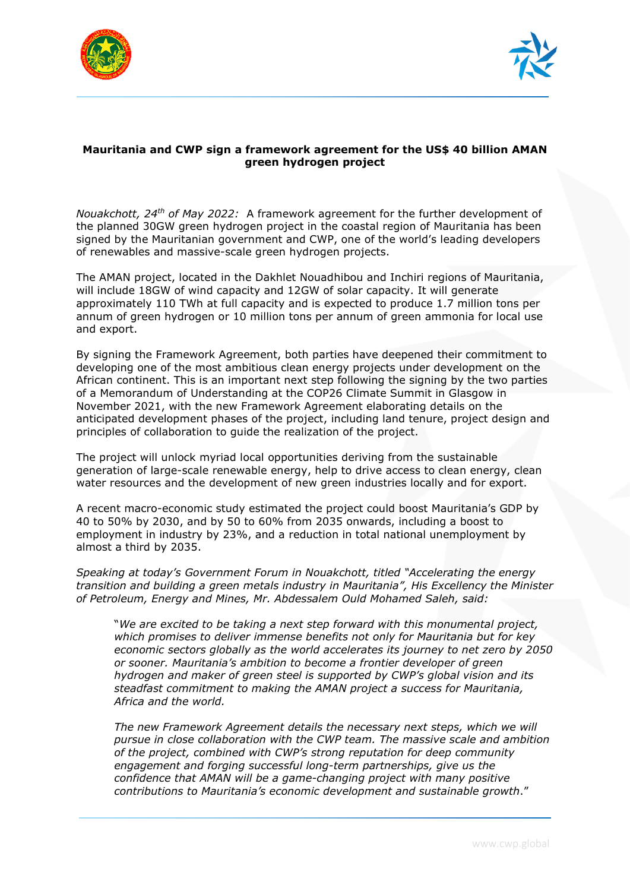



## **Mauritania and CWP sign a framework agreement for the US\$ 40 billion AMAN green hydrogen project**

*Nouakchott, 24th of May 2022:* A framework agreement for the further development of the planned 30GW green hydrogen project in the coastal region of Mauritania has been signed by the Mauritanian government and CWP, one of the world's leading developers of renewables and massive-scale green hydrogen projects.

The AMAN project, located in the Dakhlet Nouadhibou and Inchiri regions of Mauritania, will include 18GW of wind capacity and 12GW of solar capacity. It will generate approximately 110 TWh at full capacity and is expected to produce 1.7 million tons per annum of green hydrogen or 10 million tons per annum of green ammonia for local use and export.

By signing the Framework Agreement, both parties have deepened their commitment to developing one of the most ambitious clean energy projects under development on the African continent. This is an important next step following the signing by the two parties of a Memorandum of Understanding at the COP26 Climate Summit in Glasgow in November 2021, with the new Framework Agreement elaborating details on the anticipated development phases of the project, including land tenure, project design and principles of collaboration to guide the realization of the project.

The project will unlock myriad local opportunities deriving from the sustainable generation of large-scale renewable energy, help to drive access to clean energy, clean water resources and the development of new green industries locally and for export.

A recent macro-economic study estimated the project could boost Mauritania's GDP by 40 to 50% by 2030, and by 50 to 60% from 2035 onwards, including a boost to employment in industry by 23%, and a reduction in total national unemployment by almost a third by 2035.

*Speaking at today's Government Forum in Nouakchott, titled "Accelerating the energy transition and building a green metals industry in Mauritania", His Excellency the Minister of Petroleum, Energy and Mines, Mr. Abdessalem Ould Mohamed Saleh, said:* 

"*We are excited to be taking a next step forward with this monumental project, which promises to deliver immense benefits not only for Mauritania but for key economic sectors globally as the world accelerates its journey to net zero by 2050 or sooner. Mauritania's ambition to become a frontier developer of green hydrogen and maker of green steel is supported by CWP's global vision and its steadfast commitment to making the AMAN project a success for Mauritania, Africa and the world.*

The new Framework Agreement details the necessary next steps, which we will *pursue in close collaboration with the CWP team. The massive scale and ambition of the project, combined with CWP's strong reputation for deep community engagement and forging successful long-term partnerships, give us the confidence that AMAN will be a game-changing project with many positive contributions to Mauritania's economic development and sustainable growth*."